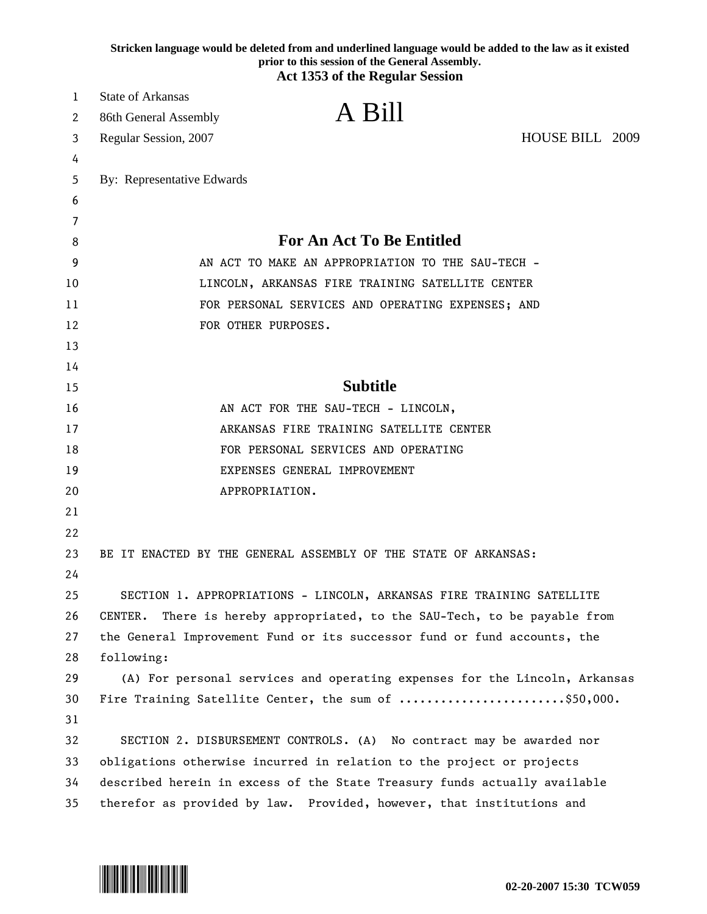|    | Stricken language would be deleted from and underlined language would be added to the law as it existed<br>prior to this session of the General Assembly.<br><b>Act 1353 of the Regular Session</b> |
|----|-----------------------------------------------------------------------------------------------------------------------------------------------------------------------------------------------------|
| 1  | <b>State of Arkansas</b>                                                                                                                                                                            |
| 2  | A Bill<br>86th General Assembly                                                                                                                                                                     |
| 3  | HOUSE BILL 2009<br>Regular Session, 2007                                                                                                                                                            |
| 4  |                                                                                                                                                                                                     |
| 5  | By: Representative Edwards                                                                                                                                                                          |
| 6  |                                                                                                                                                                                                     |
| 7  |                                                                                                                                                                                                     |
| 8  | <b>For An Act To Be Entitled</b>                                                                                                                                                                    |
| 9  | AN ACT TO MAKE AN APPROPRIATION TO THE SAU-TECH -                                                                                                                                                   |
| 10 | LINCOLN, ARKANSAS FIRE TRAINING SATELLITE CENTER                                                                                                                                                    |
| 11 | FOR PERSONAL SERVICES AND OPERATING EXPENSES; AND                                                                                                                                                   |
| 12 | FOR OTHER PURPOSES.                                                                                                                                                                                 |
| 13 |                                                                                                                                                                                                     |
| 14 |                                                                                                                                                                                                     |
| 15 | <b>Subtitle</b>                                                                                                                                                                                     |
| 16 | AN ACT FOR THE SAU-TECH - LINCOLN,                                                                                                                                                                  |
| 17 | ARKANSAS FIRE TRAINING SATELLITE CENTER                                                                                                                                                             |
| 18 | FOR PERSONAL SERVICES AND OPERATING                                                                                                                                                                 |
| 19 | EXPENSES GENERAL IMPROVEMENT                                                                                                                                                                        |
| 20 | APPROPRIATION.                                                                                                                                                                                      |
| 21 |                                                                                                                                                                                                     |
| 22 |                                                                                                                                                                                                     |
| 23 | BE IT ENACTED BY THE GENERAL ASSEMBLY OF THE STATE OF ARKANSAS:                                                                                                                                     |
| 24 |                                                                                                                                                                                                     |
| 25 | SECTION 1. APPROPRIATIONS - LINCOLN, ARKANSAS FIRE TRAINING SATELLITE                                                                                                                               |
| 26 | There is hereby appropriated, to the SAU-Tech, to be payable from<br>CENTER.                                                                                                                        |
| 27 | the General Improvement Fund or its successor fund or fund accounts, the                                                                                                                            |
| 28 | following:                                                                                                                                                                                          |
| 29 | (A) For personal services and operating expenses for the Lincoln, Arkansas                                                                                                                          |
| 30 | Fire Training Satellite Center, the sum of \$50,000.                                                                                                                                                |
| 31 |                                                                                                                                                                                                     |
| 32 | SECTION 2. DISBURSEMENT CONTROLS. (A) No contract may be awarded nor                                                                                                                                |
| 33 | obligations otherwise incurred in relation to the project or projects                                                                                                                               |
| 34 | described herein in excess of the State Treasury funds actually available                                                                                                                           |
| 35 | therefor as provided by law. Provided, however, that institutions and                                                                                                                               |